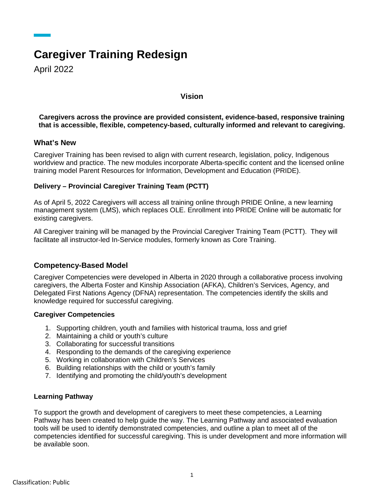# **Caregiver Training Redesign**

April 2022

# **Vision**

**Caregivers across the province are provided consistent, evidence-based, responsive training that is accessible, flexible, competency-based, culturally informed and relevant to caregiving.**

#### **What's New**

Caregiver Training has been revised to align with current research, legislation, policy, Indigenous worldview and practice. The new modules incorporate Alberta-specific content and the licensed online training model Parent Resources for Information, Development and Education (PRIDE).

# **Delivery – Provincial Caregiver Training Team (PCTT)**

As of April 5, 2022 Caregivers will access all training online through PRIDE Online, a new learning management system (LMS), which replaces OLE. Enrollment into PRIDE Online will be automatic for existing caregivers.

All Caregiver training will be managed by the Provincial Caregiver Training Team (PCTT). They will facilitate all instructor-led In-Service modules, formerly known as Core Training.

# **Competency-Based Model**

Caregiver Competencies were developed in Alberta in 2020 through a collaborative process involving caregivers, the Alberta Foster and Kinship Association (AFKA), Children's Services, Agency, and Delegated First Nations Agency (DFNA) representation. The competencies identify the skills and knowledge required for successful caregiving.

#### **Caregiver Competencies**

- 1. Supporting children, youth and families with historical trauma, loss and grief
- 2. Maintaining a child or youth's culture
- 3. Collaborating for successful transitions
- 4. Responding to the demands of the caregiving experience
- 5. Working in collaboration with Children's Services
- 6. Building relationships with the child or youth's family
- 7. Identifying and promoting the child/youth's development

#### **Learning Pathway**

To support the growth and development of caregivers to meet these competencies, a Learning Pathway has been created to help guide the way. The Learning Pathway and associated evaluation tools will be used to identify demonstrated competencies, and outline a plan to meet all of the competencies identified for successful caregiving. This is under development and more information will be available soon.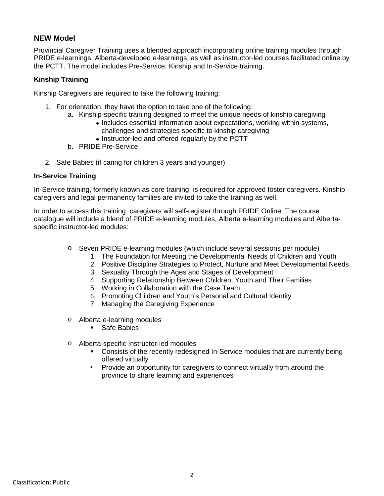# **NEW Model**

Provincial Caregiver Training uses a blended approach incorporating online training modules through PRIDE e-learnings, Alberta-developed e-learnings, as well as instructor-led courses facilitated online by the PCTT. The model includes Pre-Service, Kinship and In-Service training.

#### **Kinship Training**

Kinship Caregivers are required to take the following training:

- 1. For orientation, they have the option to take one of the following:
	- a. Kinship-specific training designed to meet the unique needs of kinship caregiving
		- Includes essential information about expectations, working within systems, challenges and strategies specific to kinship caregiving
		- Instructor-led and offered regularly by the PCTT
	- b. PRIDE Pre-Service
- 2. Safe Babies (if caring for children 3 years and younger)

#### **In-Service Training**

In-Service training, formerly known as core training, is required for approved foster caregivers. Kinship caregivers and legal permanency families are invited to take the training as well.

In order to access this training, caregivers will self-register through PRIDE Online. The course catalogue will include a blend of PRIDE e-learning modules, Alberta e-learning modules and Albertaspecific instructor-led modules:

- o Seven PRIDE e-learning modules (which include several sessions per module)
	- 1. The Foundation for Meeting the Developmental Needs of Children and Youth
	- 2. Positive Discipline Strategies to Protect, Nurture and Meet Developmental Needs
	- 3. Sexuality Through the Ages and Stages of Development
	- 4. Supporting Relationship Between Children, Youth and Their Families
	- 5. Working in Collaboration with the Case Team
	- 6. Promoting Children and Youth's Personal and Cultural Identity
	- 7. Managing the Caregiving Experience
- o Alberta e-learning modules
	- **Safe Babies**
- o Alberta-specific Instructor-led modules
	- Consists of the recently redesigned In-Service modules that are currently being offered virtually
	- Provide an opportunity for caregivers to connect virtually from around the province to share learning and experiences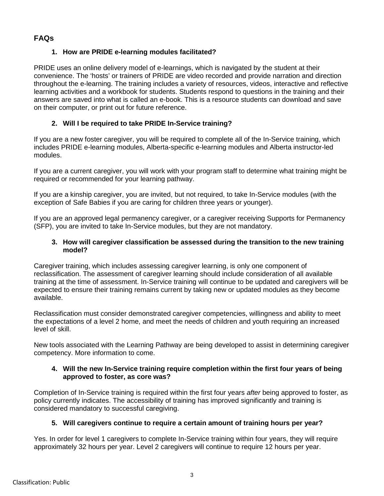# **FAQs**

# **1. How are PRIDE e-learning modules facilitated?**

PRIDE uses an online delivery model of e-learnings, which is navigated by the student at their convenience. The 'hosts' or trainers of PRIDE are video recorded and provide narration and direction throughout the e-learning. The training includes a variety of resources, videos, interactive and reflective learning activities and a workbook for students. Students respond to questions in the training and their answers are saved into what is called an e-book. This is a resource students can download and save on their computer, or print out for future reference.

# **2. Will I be required to take PRIDE In-Service training?**

If you are a new foster caregiver, you will be required to complete all of the In-Service training, which includes PRIDE e-learning modules, Alberta-specific e-learning modules and Alberta instructor-led modules.

If you are a current caregiver, you will work with your program staff to determine what training might be required or recommended for your learning pathway.

If you are a kinship caregiver, you are invited, but not required, to take In-Service modules (with the exception of Safe Babies if you are caring for children three years or younger).

If you are an approved legal permanency caregiver, or a caregiver receiving Supports for Permanency (SFP), you are invited to take In-Service modules, but they are not mandatory.

#### **3. How will caregiver classification be assessed during the transition to the new training model?**

Caregiver training, which includes assessing caregiver learning, is only one component of reclassification. The assessment of caregiver learning should include consideration of all available training at the time of assessment. In-Service training will continue to be updated and caregivers will be expected to ensure their training remains current by taking new or updated modules as they become available.

Reclassification must consider demonstrated caregiver competencies, willingness and ability to meet the expectations of a level 2 home, and meet the needs of children and youth requiring an increased level of skill.

New tools associated with the Learning Pathway are being developed to assist in determining caregiver competency. More information to come.

#### **4. Will the new In-Service training require completion within the first four years of being approved to foster, as core was?**

Completion of In-Service training is required within the first four years *after* being approved to foster, as policy currently indicates. The accessibility of training has improved significantly and training is considered mandatory to successful caregiving.

# **5. Will caregivers continue to require a certain amount of training hours per year?**

Yes. In order for level 1 caregivers to complete In-Service training within four years, they will require approximately 32 hours per year. Level 2 caregivers will continue to require 12 hours per year.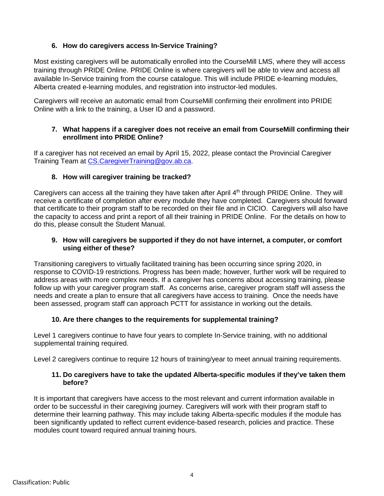# **6. How do caregivers access In-Service Training?**

Most existing caregivers will be automatically enrolled into the CourseMill LMS, where they will access training through PRIDE Online. PRIDE Online is where caregivers will be able to view and access all available In-Service training from the course catalogue. This will include PRIDE e-learning modules, Alberta created e-learning modules, and registration into instructor-led modules.

Caregivers will receive an automatic email from CourseMill confirming their enrollment into PRIDE Online with a link to the training, a User ID and a password.

#### **7. What happens if a caregiver does not receive an email from CourseMill confirming their enrollment into PRIDE Online?**

If a caregiver has not received an email by April 15, 2022, please contact the Provincial Caregiver Training Team at [CS.CaregiverTraining@gov.ab.ca.](mailto:CS.CaregiverTraining@gov.ab.ca)

# **8. How will caregiver training be tracked?**

Caregivers can access all the training they have taken after April  $4<sup>th</sup>$  through PRIDE Online. They will receive a certificate of completion after every module they have completed. Caregivers should forward that certificate to their program staff to be recorded on their file and in CICIO. Caregivers will also have the capacity to access and print a report of all their training in PRIDE Online. For the details on how to do this, please consult the Student Manual.

#### **9. How will caregivers be supported if they do not have internet, a computer, or comfort using either of these?**

Transitioning caregivers to virtually facilitated training has been occurring since spring 2020, in response to COVID-19 restrictions. Progress has been made; however, further work will be required to address areas with more complex needs. If a caregiver has concerns about accessing training, please follow up with your caregiver program staff. As concerns arise, caregiver program staff will assess the needs and create a plan to ensure that all caregivers have access to training. Once the needs have been assessed, program staff can approach PCTT for assistance in working out the details.

# **10. Are there changes to the requirements for supplemental training?**

Level 1 caregivers continue to have four years to complete In-Service training, with no additional supplemental training required.

Level 2 caregivers continue to require 12 hours of training/year to meet annual training requirements.

#### **11. Do caregivers have to take the updated Alberta-specific modules if they've taken them before?**

It is important that caregivers have access to the most relevant and current information available in order to be successful in their caregiving journey. Caregivers will work with their program staff to determine their learning pathway. This may include taking Alberta-specific modules if the module has been significantly updated to reflect current evidence-based research, policies and practice. These modules count toward required annual training hours.